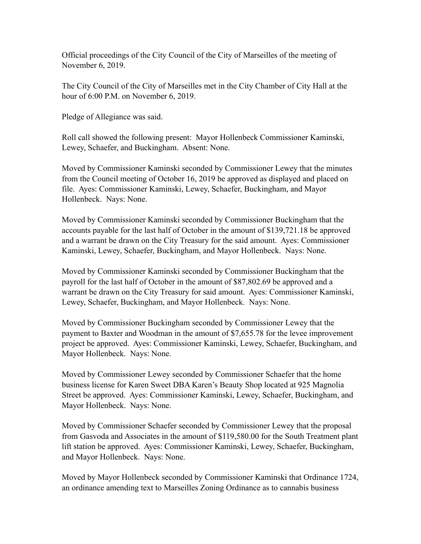Official proceedings of the City Council of the City of Marseilles of the meeting of November 6, 2019.

The City Council of the City of Marseilles met in the City Chamber of City Hall at the hour of 6:00 P.M. on November 6, 2019.

Pledge of Allegiance was said.

Roll call showed the following present: Mayor Hollenbeck Commissioner Kaminski, Lewey, Schaefer, and Buckingham. Absent: None.

Moved by Commissioner Kaminski seconded by Commissioner Lewey that the minutes from the Council meeting of October 16, 2019 be approved as displayed and placed on file. Ayes: Commissioner Kaminski, Lewey, Schaefer, Buckingham, and Mayor Hollenbeck. Nays: None.

Moved by Commissioner Kaminski seconded by Commissioner Buckingham that the accounts payable for the last half of October in the amount of \$139,721.18 be approved and a warrant be drawn on the City Treasury for the said amount. Ayes: Commissioner Kaminski, Lewey, Schaefer, Buckingham, and Mayor Hollenbeck. Nays: None.

Moved by Commissioner Kaminski seconded by Commissioner Buckingham that the payroll for the last half of October in the amount of \$87,802.69 be approved and a warrant be drawn on the City Treasury for said amount. Ayes: Commissioner Kaminski, Lewey, Schaefer, Buckingham, and Mayor Hollenbeck. Nays: None.

Moved by Commissioner Buckingham seconded by Commissioner Lewey that the payment to Baxter and Woodman in the amount of \$7,655.78 for the levee improvement project be approved. Ayes: Commissioner Kaminski, Lewey, Schaefer, Buckingham, and Mayor Hollenbeck. Nays: None.

Moved by Commissioner Lewey seconded by Commissioner Schaefer that the home business license for Karen Sweet DBA Karen's Beauty Shop located at 925 Magnolia Street be approved. Ayes: Commissioner Kaminski, Lewey, Schaefer, Buckingham, and Mayor Hollenbeck. Nays: None.

Moved by Commissioner Schaefer seconded by Commissioner Lewey that the proposal from Gasvoda and Associates in the amount of \$119,580.00 for the South Treatment plant lift station be approved. Ayes: Commissioner Kaminski, Lewey, Schaefer, Buckingham, and Mayor Hollenbeck. Nays: None.

Moved by Mayor Hollenbeck seconded by Commissioner Kaminski that Ordinance 1724, an ordinance amending text to Marseilles Zoning Ordinance as to cannabis business